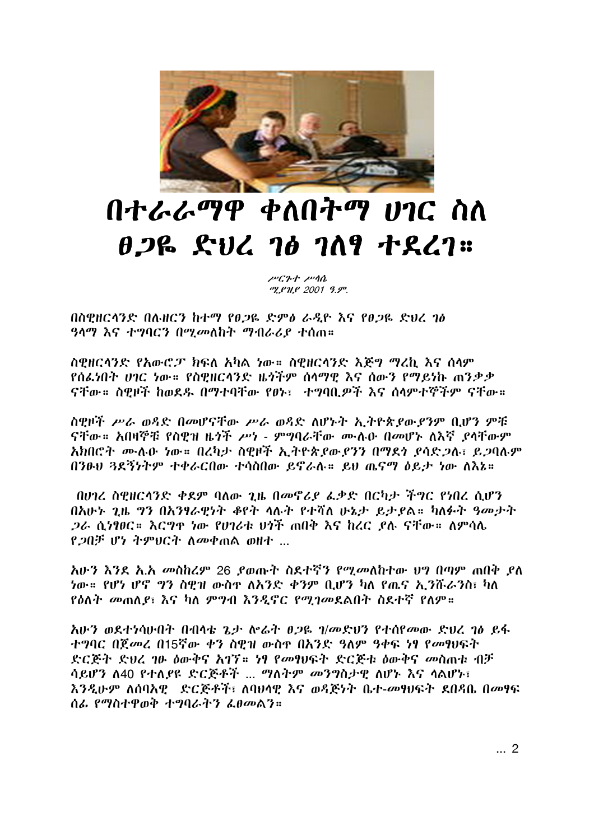

## በተራራማዋ ቀለበትማ ሀገር ስለ  $0.26$  ful 70 709  $+$  227  $\approx$

ሥርጉተ ሥሳሴ ሚያዝያ 2001 ዓ.ም.

በስዊዘርላንድ በሉዘርን ከተማ የፀጋዬ ድምፅ ራዲዮ እና የፀጋዬ ድህረ ገፅ *ዓላማ እና ተግባርን በሚመ*ለከት *ማብራሪያ ተ*ሰጠ።

ስዊዘርላንድ የአውሮፓ ክፍለ አካል ነው። ስዊዘርላንድ እጅግ ማረኪ እና ሰላም የሰፌነበት ሀገር ነው። የስዊዘርላንድ ዜጎችም ሰላማዊ እና ሰውን የማይነኩ ጠንቃቃ ናቸው። ስዊዞች ከወደዱ በማተባቸው የፀኑ፣ ተግባቢዎች እና ሰላምተኞችም ናቸው።

ስዊዞች ሥራ ወዳድ በመሆናቸው ሥራ ወዳድ ለሆኑት ኢትዮጵያውያንም ቢሆን ምቹ ናቸው። አበዛኞቹ የስዊዝ ዜጎች ሥነ - ምግባራቸው ሙሉዑ በመሆኑ ለእኛ ያላቸውም አክበሮት ሙሉሁ ነው። በረካታ ስዊዞች ኢትዮጵያውያንን በማደነ ያሳድጋሉ፣ ይጋባሉም በንፁህ 3ደኝነትም ተቀራርበው ተሳስበው ይኖራሉ። ይህ ጤናማ ዕይታ ነው ለእኔ።

በሀገረ ስዊዘርላንድ ቀደም ባለው ጊዜ በመኖሪያ ፌቃድ በርካታ ችግር የነበረ ሲሆን በአሁኑ ጊዜ ግን በአንፃራዊነት ቆየት ሳሉት የተሻለ ሁኔታ ይታያል። ካለፉት ዓመታት .ጋራ ሲነፃፀር። እርግዋ ነው የሀገሪቱ ሀጎች ጠበቅ እና ከረር ደሉ ናቸው። ለምሳሌ የ.20ቻ ሆነ ትምህርት ስመቀጠል ወዘተ ...

አሁን እንደ አ.አ መስከረም 26 ያወጡት ስደተኛን የሚመለከተው ህግ በጣም ጠበቅ ያለ *ነ*ው። የሆነ ሆኖ *ግ*ን ስዎዝ ውስ<u>ም ለአንድ ቀንም ቢሆን ካለ የ</u>ዉና *አ* ንሹራንስ፣ ካለ *የዕ*ለት መጠለ*ያ*፣ እና ካለ ምግብ እንዲኖር የሚገመደልበት ስደተኛ የለም።

አሁን ወደተነሳሁበት በብላቴ ጌታ ሎሬት ፀጋዬ ገ/መድህን የተሰየመው ድህረ ገፅ ይፋ ተግባር በጀመረ በ15ኛው ቀን ስዊዝ ውስዋ በአንድ ዓለም ዓቀፍ ነፃ የመፃህፍት ድርጅት ድህረ ገፁ ዕውቅና አገኘ። ነፃ የመፃህፍት ድርጅቱ ዕውቅና መስጠቱ ብቻ ሳይሆን ለ40 የተለያዩ ድርጅቶች ... ማለትም መንግስታዊ ለሆኑ እና ሳልሆኑ፣ እንዲሁም ለሰባአዊ ደርጅቶች፣ ለባህሳዊ እና ወዳጅነት ቤተ-መፃህፍት ደበዳቤ በመፃፍ ሰፌ የማስተዋወቅ ተግባራትን ፌፀመልን።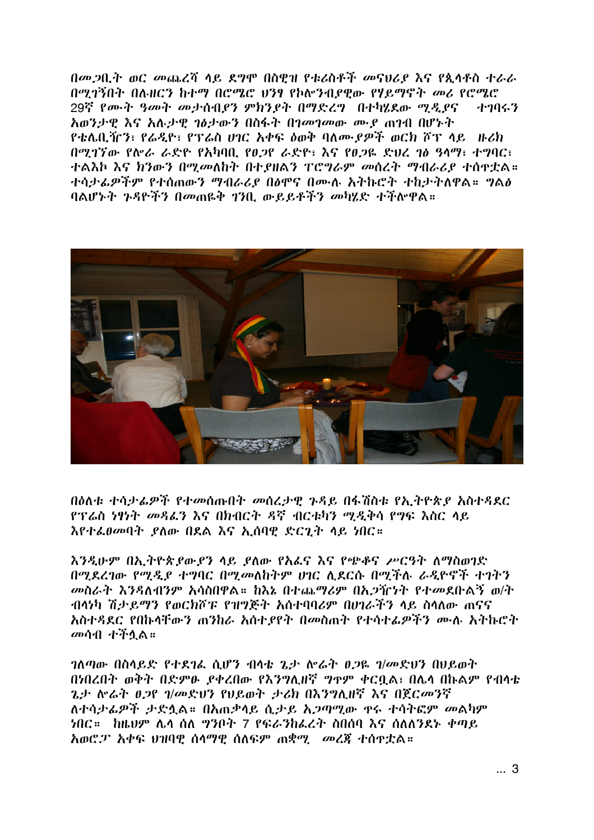በመጋቢት ወር መጨረሻ ሳይ ደግሞ በስዊዝ የቱሪስቶች መናህሪያ እና የጲሳቶስ ተራራ በሚገኝበት በሉዘርን ከተማ በሮሜሮ ህንፃ የኮሎንብደዊው የሃይማኖት መሪ የሮሜሮ 29ኛ የሙት ዓመት መታሰብያን ምክንያት በማድረግ በተካሂደው ማዲያና ナクリムク አወንታዊ እና አሉታዊ ገፅታውን በስፋት በገመገመው ሙያ ጠገብ በሆኑት የቴሌቢዥን፣ የራዲዮ፣ የፕሬስ ሀገር አቀፍ ልወቅ ባለሙ የዎች ወርክ ሾፕ ላይ ዙሪክ በሚገኘው የሎራ ራድዮ የአካባቢ የፀጋየ ራድዮ፣ እና የፀጋዬ ድህረ ገፅ ዓላማ፣ ተግባር፣ ተልእኮ እና ክንውን በሚመለከት በተያዘልን ፐሮግራም መሰረት ማብራሪያ ተሰዋቷል። ተሳታፊዎችም የተሰጠውን ማብራሪያ በፅሞና በሙሉ አትኩሮት ተከታትለዋል። ግልፅ ባልሆኑት ጉዳዮችን በመጠዬቅ ገንቢ ውይይቶችን መካሄድ ተችሎዋል።



በስለቱ ተሳታፌዎች የተመሰጡበት መሰረታዋ ንዳይ በፋሽስቱ የአ ትዮጵደ አስተዳደር የፕሬስ ነፃነት መዳፌን እና በክብርት ዳኛ ብርቱካን ሚዲቅሳ የግፍ እስር ላይ እየተፌፀመባት ያለው በደል እና ኢሰባዊ ድርጊት ላይ ነበር።

እንዲሁም በኢትዮጵያውያን ላይ ያለው የአፌና እና የጭቆና ሥርዓት ለማስወገድ በማደረገው የማዲያ ተግባር በማመለከትም ሀገር ሊደርሱ በማችሉ ራዲዮኖች ተገትን መስራት እንዳለብንም አሳስበዋል። ከእኔ በተጨማሪም በአጋዥነት የተመደቡልኝ ወ/ት ብላነካ ሽታይማን የወርክሾፑ የዝግጅት አሰተባባሪም በሀገራችን ላይ ስላለው ጠናና አስተዳደር የበኩላቸውን ጠንከራ አስተያየት በመስጠት የተሳተፌዎችን ሙሉ አትኩሮት መሳብ ተችሏል።

ገለጣው በስላይድ የተደገሬ ሲሆን ብላቴ ጌታ ሎሬት ፀጋዬ ገ/መድህን በህይወት በነበረበት ወቅት በድምፁ ያቀረበው የእንግሊዘኛ ግዋም ቀርቧል፣ በሌላ በኩልም የብላቴ ጌታ ሎሬት ፀጋየ ገ/መድህን የሀይወት ታሪክ በእንግሊዘኛ እና በጀርመንኛ ለተሳታፊዎች ታድሏል። በአጠቃላይ ሲታይ አጋጣሚው ዋሩ ተሳትፎም መልካም ነበር። ከዜህም ሌላ ሰለ ግንቦት 7 የፍራንከፌረት ስበሰባ እና ሰለለንደኑ ቀጣይ *አወሮፓ አቀፍ ህዝባዊ ሰላማዊ ሰለፍም ጠቋሚ መረጀ ተሰዋቷ*ል።